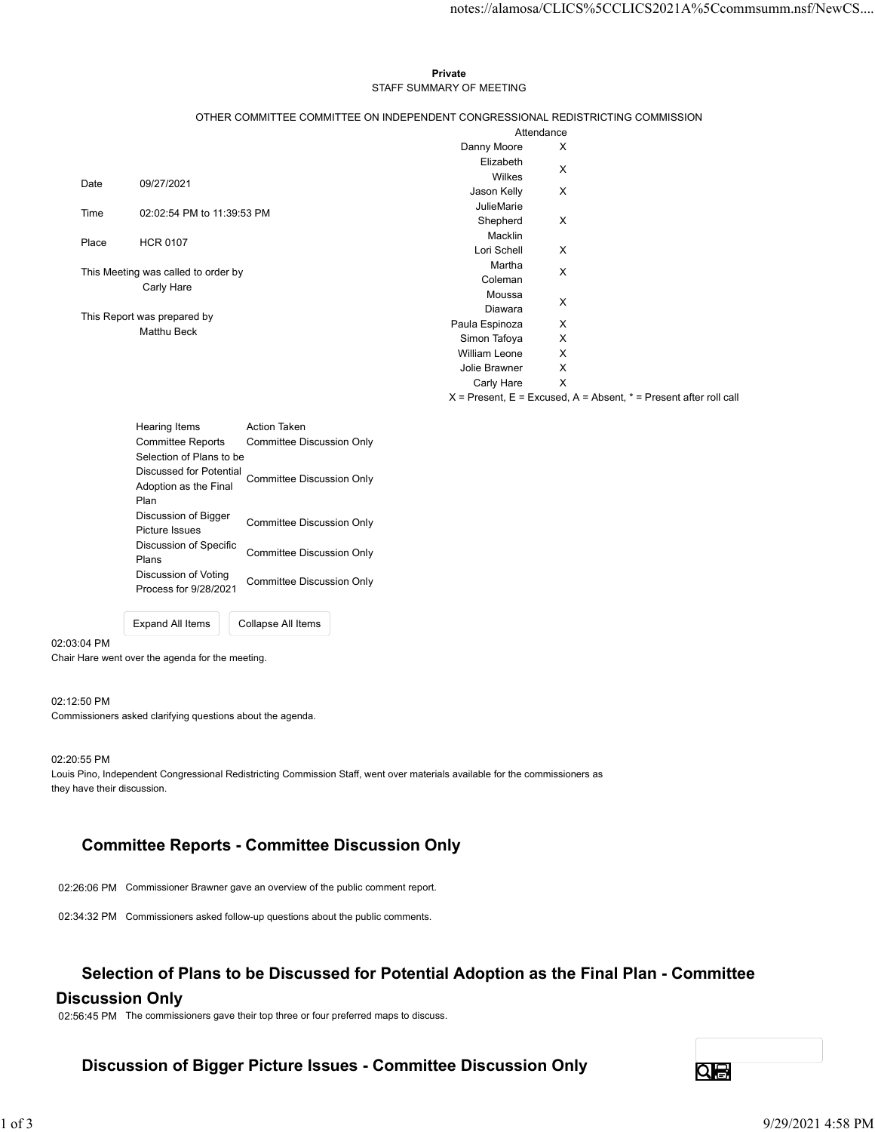#### Private **Private** and *Private* and *Private* and *Private* and *Private* and *Private* and *Private* and *Private* and *Private* and *Private* and *Private* and *Private* and *Private* and *Private* and *Private* and *Pri* STAFF SUMMARY OF MEETING

|       |                                                   |                                                      |                                                                                               |                           | notes://alamosa/CLICS%5CCLICS2021A%5Ccommsumm.nsf/NewCS                   |  |
|-------|---------------------------------------------------|------------------------------------------------------|-----------------------------------------------------------------------------------------------|---------------------------|---------------------------------------------------------------------------|--|
|       |                                                   |                                                      |                                                                                               |                           |                                                                           |  |
|       |                                                   |                                                      |                                                                                               |                           |                                                                           |  |
|       |                                                   |                                                      | Private                                                                                       |                           |                                                                           |  |
|       |                                                   |                                                      | STAFF SUMMARY OF MEETING                                                                      |                           |                                                                           |  |
|       |                                                   |                                                      |                                                                                               |                           |                                                                           |  |
|       |                                                   |                                                      | OTHER COMMITTEE COMMITTEE ON INDEPENDENT CONGRESSIONAL REDISTRICTING COMMISSION<br>Attendance |                           |                                                                           |  |
|       |                                                   |                                                      | Danny Moore                                                                                   | X                         |                                                                           |  |
|       |                                                   |                                                      | Elizabeth                                                                                     |                           |                                                                           |  |
| Date  | 09/27/2021                                        |                                                      | Wilkes                                                                                        | X                         |                                                                           |  |
|       |                                                   |                                                      | Jason Kelly                                                                                   | X                         |                                                                           |  |
| Time  | 02:02:54 PM to 11:39:53 PM                        |                                                      | JulieMarie                                                                                    |                           |                                                                           |  |
|       |                                                   |                                                      | Shepherd<br>Macklin                                                                           | X                         |                                                                           |  |
| Place | <b>HCR 0107</b>                                   |                                                      | Lori Schell                                                                                   | X                         |                                                                           |  |
|       |                                                   |                                                      | Martha                                                                                        |                           |                                                                           |  |
|       | This Meeting was called to order by<br>Carly Hare |                                                      | Coleman                                                                                       | X                         |                                                                           |  |
|       |                                                   |                                                      | Moussa                                                                                        | X                         |                                                                           |  |
|       | This Report was prepared by                       |                                                      | Diawara                                                                                       |                           |                                                                           |  |
|       | Matthu Beck                                       |                                                      | Paula Espinoza<br>Simon Tafoya                                                                | X<br>X                    |                                                                           |  |
|       |                                                   |                                                      | William Leone                                                                                 | X                         |                                                                           |  |
|       |                                                   |                                                      | Jolie Brawner                                                                                 | $\boldsymbol{\mathsf{X}}$ |                                                                           |  |
|       |                                                   |                                                      | Carly Hare                                                                                    | $\mathsf{X}$              |                                                                           |  |
|       |                                                   |                                                      |                                                                                               |                           | $X =$ Present, $E =$ Excused, $A =$ Absent, $* =$ Present after roll call |  |
|       | Hearing Items                                     | <b>Action Taken</b>                                  |                                                                                               |                           |                                                                           |  |
|       | <b>Committee Reports</b>                          | <b>Committee Discussion Only</b>                     |                                                                                               |                           |                                                                           |  |
|       | Selection of Plans to be                          |                                                      |                                                                                               |                           |                                                                           |  |
|       |                                                   | Discussed for Potential<br>Committee Discussion Only |                                                                                               |                           |                                                                           |  |
|       | Adoption as the Final                             |                                                      |                                                                                               |                           |                                                                           |  |
|       | Plan                                              |                                                      |                                                                                               |                           |                                                                           |  |
|       | Discussion of Bigger<br>Picture Issues            | <b>Committee Discussion Only</b>                     |                                                                                               |                           |                                                                           |  |

| <b>Hearing Items</b>                          | <b>Action Taken</b>       |  |
|-----------------------------------------------|---------------------------|--|
| <b>Committee Reports</b>                      | Committee Discussion Only |  |
| Selection of Plans to be                      |                           |  |
| Discussed for Potential                       | Committee Discussion Only |  |
| Adoption as the Final                         |                           |  |
| Plan                                          |                           |  |
| Discussion of Bigger<br>Picture Issues        | Committee Discussion Only |  |
| Discussion of Specific<br>Plans               | Committee Discussion Only |  |
| Discussion of Voting<br>Process for 9/28/2021 | Committee Discussion Only |  |
|                                               |                           |  |

Expand All Items Collapse All Items

Chair Hare went over the agenda for the meeting.

#### 02:12:50 PM

02:03:04 PM

Commissioners asked clarifying questions about the agenda.

02:20:55 PM Louis Pino, Independent Congressional Redistricting Commission Staff, went over materials available for the commissioners as they have their discussion. 022656 PM<br>Louis Pino, Independent Congressional Redistricting Commission Staff, went over materials available for the commissioners as<br>
They have then discussed.<br>
Committitee Reports - Committee Discussion Only<br>
0226:06 PM

# Committee Reports - Committee Discussion Only

02:26:06 PM Commissioner Brawner gave an overview of the public comment report.

02:34:32 PM Commissioners asked follow-up questions about the public comments.

## Selection of Plans to be Discussed for Potential Adoption as the Final Plan - Committee

### Discussion Only

02:56:45 PM The commissioners gave their top three or four preferred maps to discuss.

# Discussion of Bigger Picture Issues - Committee Discussion Only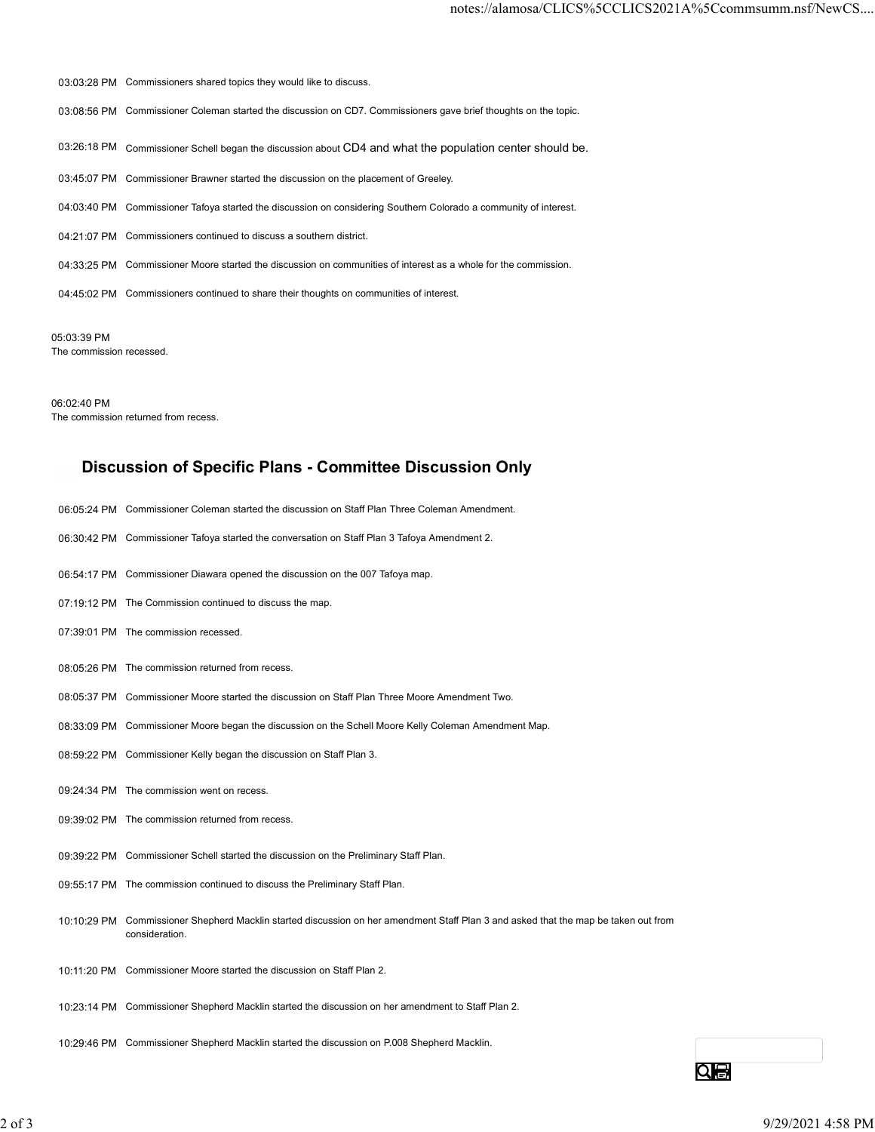03:03:28 PM Commissioners shared topics they would like to discuss. 03:08:56 PM Commissioner Coleman started the discussion on CD7. Commissioners gave brief thoughts on the topic. 03:26:18 PM Commissioner Schell began the discussion about CD4 and what the population center should be. 03:45:07 PM Commissioner Brawner started the discussion on the placement of Greeley. 04:03:40 PM Commissioner Tafoya started the discussion on considering Southern Colorado a community of interest. 04:21:07 PM Commissioners continued to discuss a southern district. 04:33:25 PM Commissioner Moore started the discussion on communities of interest as a whole for the commission. 04:45:02 PM Commissioners continued to share their thoughts on communities of interest.

05:03:39 PM The commission recessed.

06:02:40 PM The commission returned from recess.

## Discussion of Specific Plans - Committee Discussion Only

- 06:05:24 PM Commissioner Coleman started the discussion on Staff Plan Three Coleman Amendment.
- 06:30:42 PM Commissioner Tafoya started the conversation on Staff Plan 3 Tafoya Amendment 2.
- 06:54:17 PM Commissioner Diawara opened the discussion on the 007 Tafoya map.
- 07:19:12 PM The Commission continued to discuss the map.
- 07:39:01 PM The commission recessed.
- 08:05:26 PM The commission returned from recess.
- 08:05:37 PM Commissioner Moore started the discussion on Staff Plan Three Moore Amendment Two.
- 08:33:09 PM Commissioner Moore began the discussion on the Schell Moore Kelly Coleman Amendment Map.
- 08:59:22 PM Commissioner Kelly began the discussion on Staff Plan 3.
- 09:24:34 PM The commission went on recess.
- 09:39:02 PM The commission returned from recess.
- 09:39:22 PM Commissioner Schell started the discussion on the Preliminary Staff Plan.
- 09:55:17 PM The commission continued to discuss the Preliminary Staff Plan.
- 10:10:29 PM Commissioner Shepherd Macklin started discussion on her amendment Staff Plan 3 and asked that the map be taken out from consideration. 05:50:22 PM Commissioner Keily began the discussion on Staff Plan 3.<br>
09:24:34 PM The commission returned from rootes.<br>
09:39:22 PM Commissioner Schepherd Macklin stands on the Preliminary Staff Plan.<br>
19:19:29 PM Commissi
	- 10:11:20 PM Commissioner Moore started the discussion on Staff Plan 2.
	- 10:23:14 PM Commissioner Shepherd Macklin started the discussion on her amendment to Staff Plan 2.
	- 10:29:46 PM Commissioner Shepherd Macklin started the discussion on P.008 Shepherd Macklin.